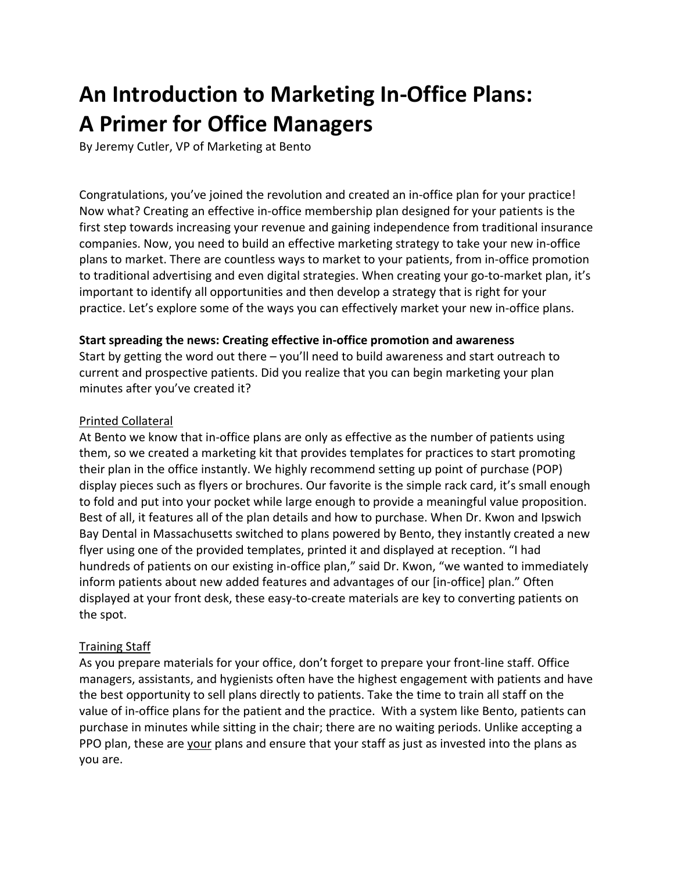# **An Introduction to Marketing In-Office Plans: A Primer for Office Managers**

By Jeremy Cutler, VP of Marketing at Bento

Congratulations, you've joined the revolution and created an in-office plan for your practice! Now what? Creating an effective in-office membership plan designed for your patients is the first step towards increasing your revenue and gaining independence from traditional insurance companies. Now, you need to build an effective marketing strategy to take your new in-office plans to market. There are countless ways to market to your patients, from in-office promotion to traditional advertising and even digital strategies. When creating your go-to-market plan, it's important to identify all opportunities and then develop a strategy that is right for your practice. Let's explore some of the ways you can effectively market your new in-office plans.

#### **Start spreading the news: Creating effective in-office promotion and awareness**

Start by getting the word out there – you'll need to build awareness and start outreach to current and prospective patients. Did you realize that you can begin marketing your plan minutes after you've created it?

### Printed Collateral

At Bento we know that in-office plans are only as effective as the number of patients using them, so we created a marketing kit that provides templates for practices to start promoting their plan in the office instantly. We highly recommend setting up point of purchase (POP) display pieces such as flyers or brochures. Our favorite is the simple rack card, it's small enough to fold and put into your pocket while large enough to provide a meaningful value proposition. Best of all, it features all of the plan details and how to purchase. When Dr. Kwon and Ipswich Bay Dental in Massachusetts switched to plans powered by Bento, they instantly created a new flyer using one of the provided templates, printed it and displayed at reception. "I had hundreds of patients on our existing in-office plan," said Dr. Kwon, "we wanted to immediately inform patients about new added features and advantages of our [in-office] plan." Often displayed at your front desk, these easy-to-create materials are key to converting patients on the spot.

## Training Staff

As you prepare materials for your office, don't forget to prepare your front-line staff. Office managers, assistants, and hygienists often have the highest engagement with patients and have the best opportunity to sell plans directly to patients. Take the time to train all staff on the value of in-office plans for the patient and the practice. With a system like Bento, patients can purchase in minutes while sitting in the chair; there are no waiting periods. Unlike accepting a PPO plan, these are your plans and ensure that your staff as just as invested into the plans as you are.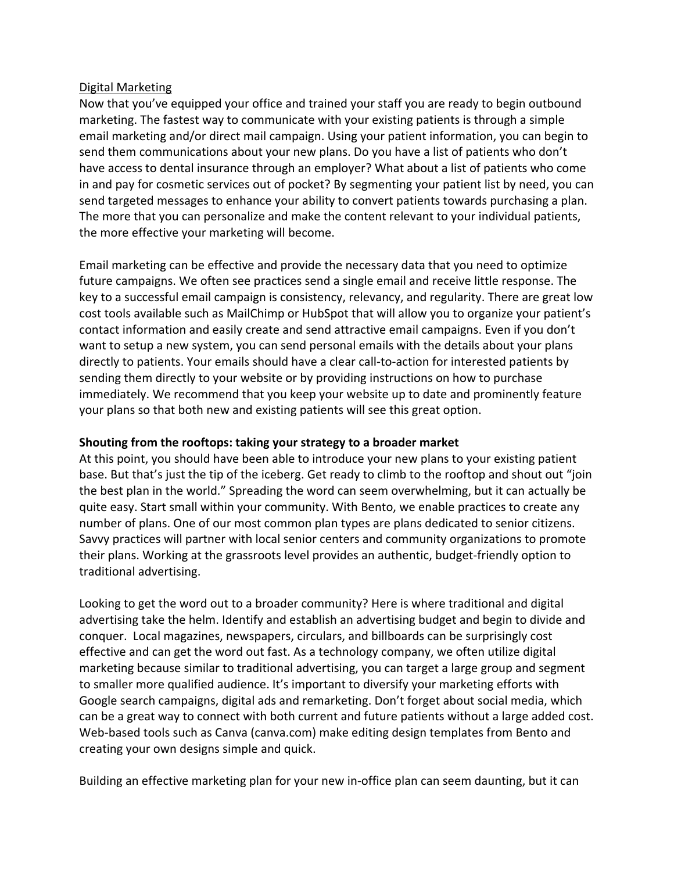#### Digital Marketing

Now that you've equipped your office and trained your staff you are ready to begin outbound marketing. The fastest way to communicate with your existing patients is through a simple email marketing and/or direct mail campaign. Using your patient information, you can begin to send them communications about your new plans. Do you have a list of patients who don't have access to dental insurance through an employer? What about a list of patients who come in and pay for cosmetic services out of pocket? By segmenting your patient list by need, you can send targeted messages to enhance your ability to convert patients towards purchasing a plan. The more that you can personalize and make the content relevant to your individual patients, the more effective your marketing will become.

Email marketing can be effective and provide the necessary data that you need to optimize future campaigns. We often see practices send a single email and receive little response. The key to a successful email campaign is consistency, relevancy, and regularity. There are great low cost tools available such as MailChimp or HubSpot that will allow you to organize your patient's contact information and easily create and send attractive email campaigns. Even if you don't want to setup a new system, you can send personal emails with the details about your plans directly to patients. Your emails should have a clear call-to-action for interested patients by sending them directly to your website or by providing instructions on how to purchase immediately. We recommend that you keep your website up to date and prominently feature your plans so that both new and existing patients will see this great option.

## **Shouting from the rooftops: taking your strategy to a broader market**

At this point, you should have been able to introduce your new plans to your existing patient base. But that's just the tip of the iceberg. Get ready to climb to the rooftop and shout out "join the best plan in the world." Spreading the word can seem overwhelming, but it can actually be quite easy. Start small within your community. With Bento, we enable practices to create any number of plans. One of our most common plan types are plans dedicated to senior citizens. Savvy practices will partner with local senior centers and community organizations to promote their plans. Working at the grassroots level provides an authentic, budget-friendly option to traditional advertising.

Looking to get the word out to a broader community? Here is where traditional and digital advertising take the helm. Identify and establish an advertising budget and begin to divide and conquer. Local magazines, newspapers, circulars, and billboards can be surprisingly cost effective and can get the word out fast. As a technology company, we often utilize digital marketing because similar to traditional advertising, you can target a large group and segment to smaller more qualified audience. It's important to diversify your marketing efforts with Google search campaigns, digital ads and remarketing. Don't forget about social media, which can be a great way to connect with both current and future patients without a large added cost. Web-based tools such as Canva (canva.com) make editing design templates from Bento and creating your own designs simple and quick.

Building an effective marketing plan for your new in-office plan can seem daunting, but it can